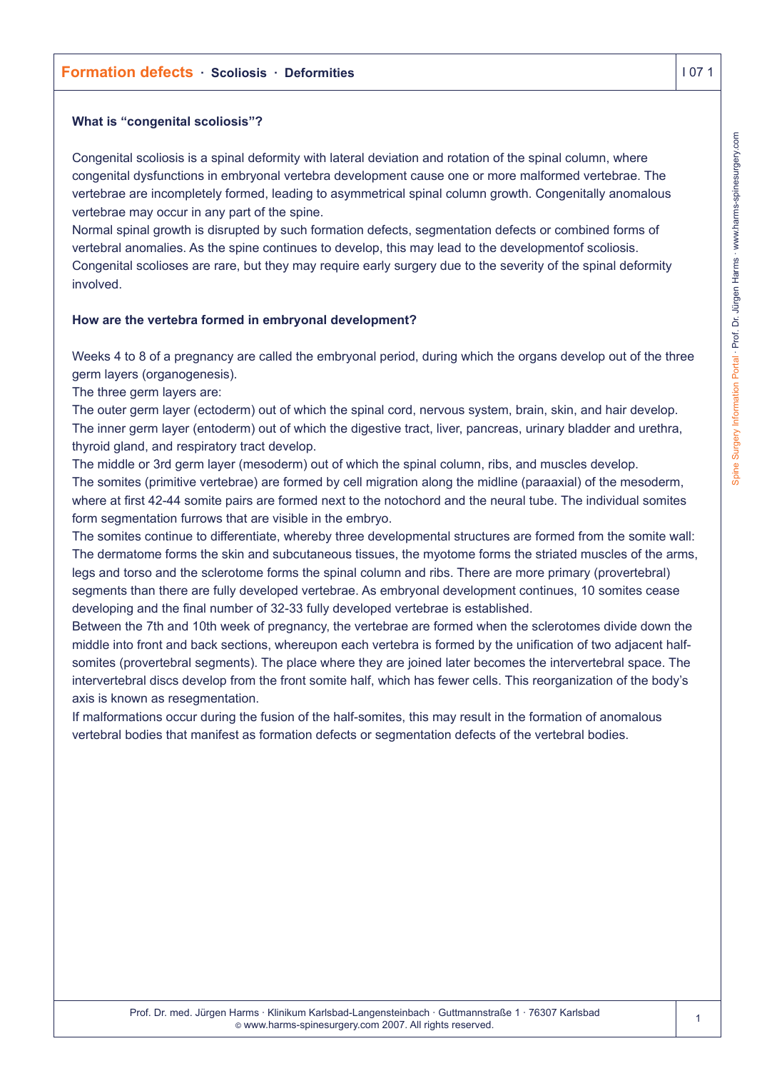# **Formation defects · Scoliosis · Deformities I 07 1**

#### **What is "congenital scoliosis"?**

Congenital scoliosis is a spinal deformity with lateral deviation and rotation of the spinal column, where congenital dysfunctions in embryonal vertebra development cause one or more malformed vertebrae. The vertebrae are incompletely formed, leading to asymmetrical spinal column growth. Congenitally anomalous vertebrae may occur in any part of the spine.

Normal spinal growth is disrupted by such formation defects, segmentation defects or combined forms of vertebral anomalies. As the spine continues to develop, this may lead to the developmentof scoliosis. Congenital scolioses are rare, but they may require early surgery due to the severity of the spinal deformity involved.

#### **How are the vertebra formed in embryonal development?**

Weeks 4 to 8 of a pregnancy are called the embryonal period, during which the organs develop out of the three germ layers (organogenesis).

The three germ layers are:

The outer germ layer (ectoderm) out of which the spinal cord, nervous system, brain, skin, and hair develop. The inner germ layer (entoderm) out of which the digestive tract, liver, pancreas, urinary bladder and urethra, thyroid gland, and respiratory tract develop.

The middle or 3rd germ layer (mesoderm) out of which the spinal column, ribs, and muscles develop. The somites (primitive vertebrae) are formed by cell migration along the midline (paraaxial) of the mesoderm,

where at first 42-44 somite pairs are formed next to the notochord and the neural tube. The individual somites form segmentation furrows that are visible in the embryo.

The somites continue to differentiate, whereby three developmental structures are formed from the somite wall: The dermatome forms the skin and subcutaneous tissues, the myotome forms the striated muscles of the arms, legs and torso and the sclerotome forms the spinal column and ribs. There are more primary (provertebral) segments than there are fully developed vertebrae. As embryonal development continues, 10 somites cease developing and the final number of 32-33 fully developed vertebrae is established.

Between the 7th and 10th week of pregnancy, the vertebrae are formed when the sclerotomes divide down the middle into front and back sections, whereupon each vertebra is formed by the unification of two adjacent halfsomites (provertebral segments). The place where they are joined later becomes the intervertebral space. The intervertebral discs develop from the front somite half, which has fewer cells. This reorganization of the body's axis is known as resegmentation.

If malformations occur during the fusion of the half-somites, this may result in the formation of anomalous vertebral bodies that manifest as formation defects or segmentation defects of the vertebral bodies.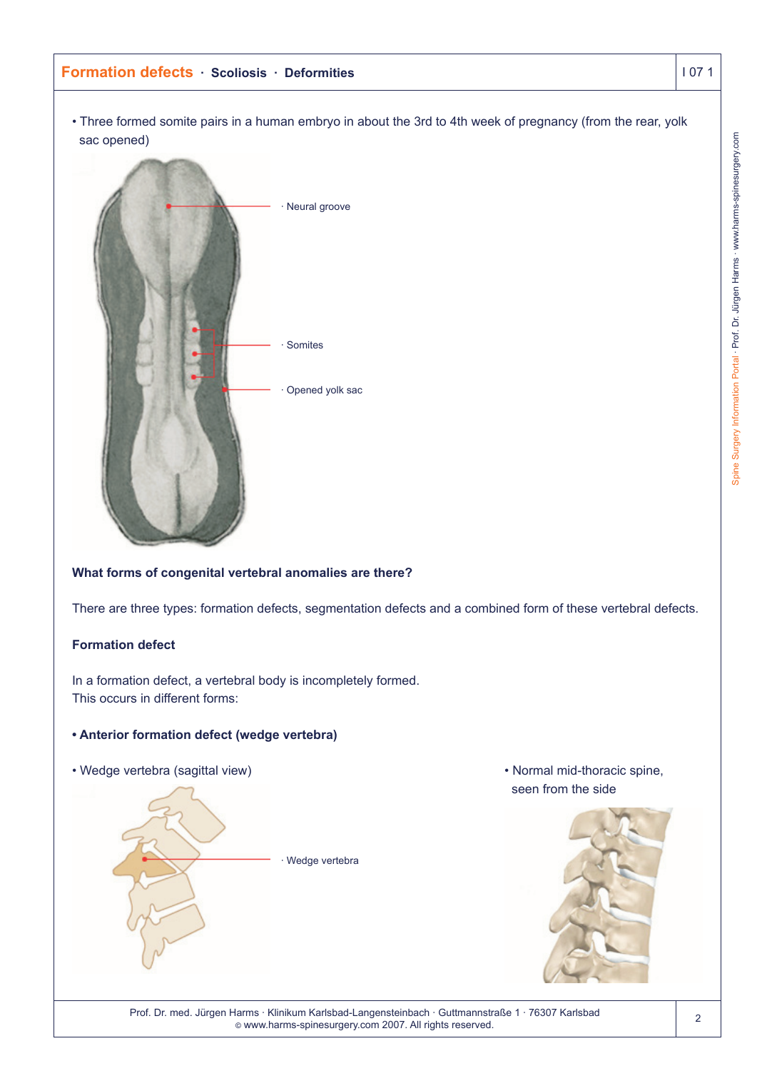• Three formed somite pairs in a human embryo in about the 3rd to 4th week of pregnancy (from the rear, yolk sac opened)



# **What forms of congenital vertebral anomalies are there?**

There are three types: formation defects, segmentation defects and a combined form of these vertebral defects.

# **Formation defect**

In a formation defect, a vertebral body is incompletely formed. This occurs in different forms:

# **• Anterior formation defect (wedge vertebra)**

• Wedge vertebra (sagittal view) • Normal mid-thoracic spine,



seen from the side



Prof. Dr. med. Jürgen Harms · Klinikum Karlsbad-Langensteinbach · Guttmannstraße 1 · 76307 Karlsbad © www.harms-spinesurgery.com 2007. All rights reserved.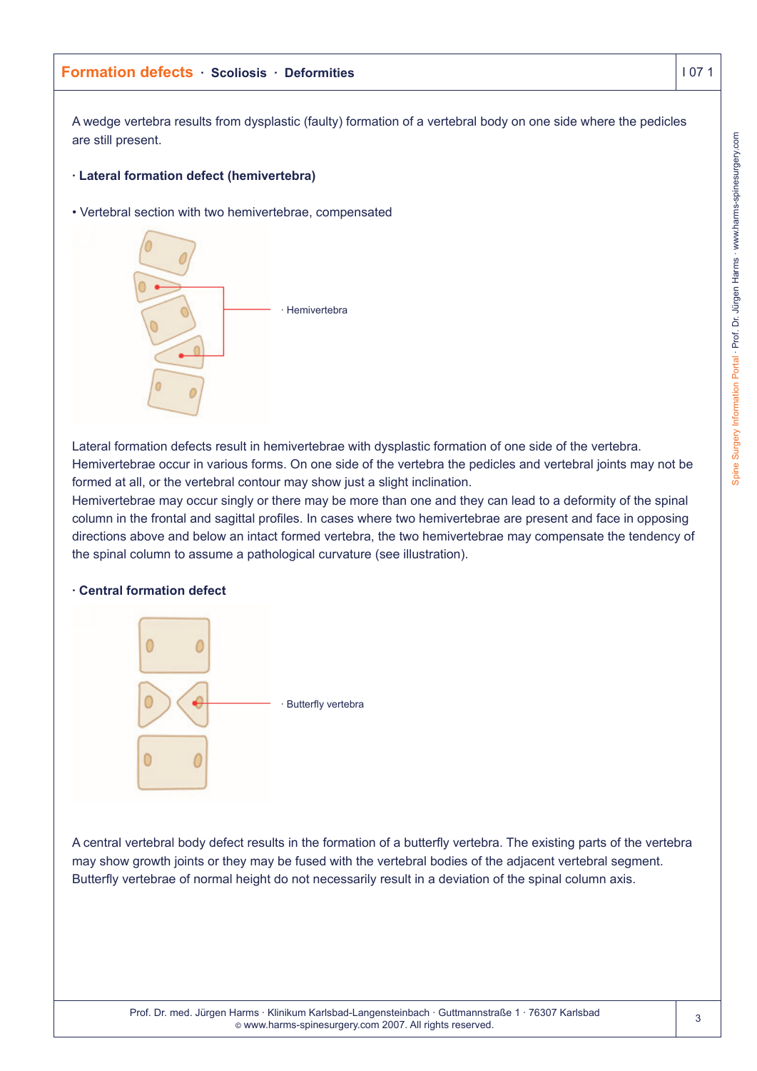Prof. Dr. med. Jürgen Harms · Klinikum Karlsbad-Langensteinbach · Guttmannstraße 1 · 76307 Karlsbad © www.harms-spinesurgery.com 2007. All rights reserved.

# **Formation defects · Scoliosis · Deformities I 07 1**

A wedge vertebra results from dysplastic (faulty) formation of a vertebral body on one side where the pedicles are still present.

# **· Lateral formation defect (hemivertebra)**

• Vertebral section with two hemivertebrae, compensated



Lateral formation defects result in hemivertebrae with dysplastic formation of one side of the vertebra. Hemivertebrae occur in various forms. On one side of the vertebra the pedicles and vertebral joints may not be formed at all, or the vertebral contour may show just a slight inclination.

Hemivertebrae may occur singly or there may be more than one and they can lead to a deformity of the spinal column in the frontal and sagittal profiles. In cases where two hemivertebrae are present and face in opposing directions above and below an intact formed vertebra, the two hemivertebrae may compensate the tendency of the spinal column to assume a pathological curvature (see illustration).

# **· Central formation defect**

 $\overline{0}$ 

0



A central vertebral body defect results in the formation of a butterfly vertebra. The existing parts of the vertebra may show growth joints or they may be fused with the vertebral bodies of the adjacent vertebral segment. Butterfly vertebrae of normal height do not necessarily result in a deviation of the spinal column axis.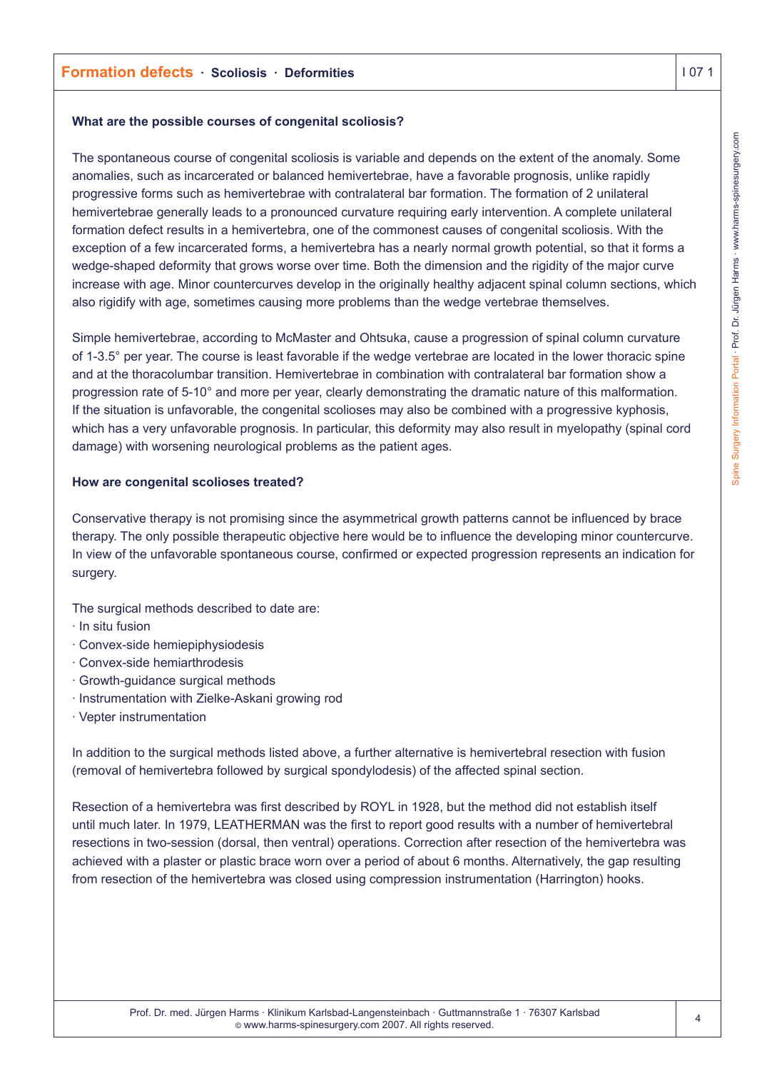## **What are the possible courses of congenital scoliosis?**

The spontaneous course of congenital scoliosis is variable and depends on the extent of the anomaly. Some anomalies, such as incarcerated or balanced hemivertebrae, have a favorable prognosis, unlike rapidly progressive forms such as hemivertebrae with contralateral bar formation. The formation of 2 unilateral hemivertebrae generally leads to a pronounced curvature requiring early intervention. A complete unilateral formation defect results in a hemivertebra, one of the commonest causes of congenital scoliosis. With the exception of a few incarcerated forms, a hemivertebra has a nearly normal growth potential, so that it forms a wedge-shaped deformity that grows worse over time. Both the dimension and the rigidity of the major curve increase with age. Minor countercurves develop in the originally healthy adjacent spinal column sections, which also rigidify with age, sometimes causing more problems than the wedge vertebrae themselves.

Simple hemivertebrae, according to McMaster and Ohtsuka, cause a progression of spinal column curvature of 1-3.5° per year. The course is least favorable if the wedge vertebrae are located in the lower thoracic spine and at the thoracolumbar transition. Hemivertebrae in combination with contralateral bar formation show a progression rate of 5-10° and more per year, clearly demonstrating the dramatic nature of this malformation. If the situation is unfavorable, the congenital scolioses may also be combined with a progressive kyphosis, which has a very unfavorable prognosis. In particular, this deformity may also result in myelopathy (spinal cord damage) with worsening neurological problems as the patient ages.

# **How are congenital scolioses treated?**

Conservative therapy is not promising since the asymmetrical growth patterns cannot be influenced by brace therapy. The only possible therapeutic objective here would be to influence the developing minor countercurve. In view of the unfavorable spontaneous course, confirmed or expected progression represents an indication for surgery.

The surgical methods described to date are:

- · In situ fusion
- · Convex-side hemiepiphysiodesis
- · Convex-side hemiarthrodesis
- · Growth-guidance surgical methods
- · Instrumentation with Zielke-Askani growing rod
- · Vepter instrumentation

In addition to the surgical methods listed above, a further alternative is hemivertebral resection with fusion (removal of hemivertebra followed by surgical spondylodesis) of the affected spinal section.

Resection of a hemivertebra was first described by ROYL in 1928, but the method did not establish itself until much later. In 1979, LEATHERMAN was the first to report good results with a number of hemivertebral resections in two-session (dorsal, then ventral) operations. Correction after resection of the hemivertebra was achieved with a plaster or plastic brace worn over a period of about 6 months. Alternatively, the gap resulting from resection of the hemivertebra was closed using compression instrumentation (Harrington) hooks.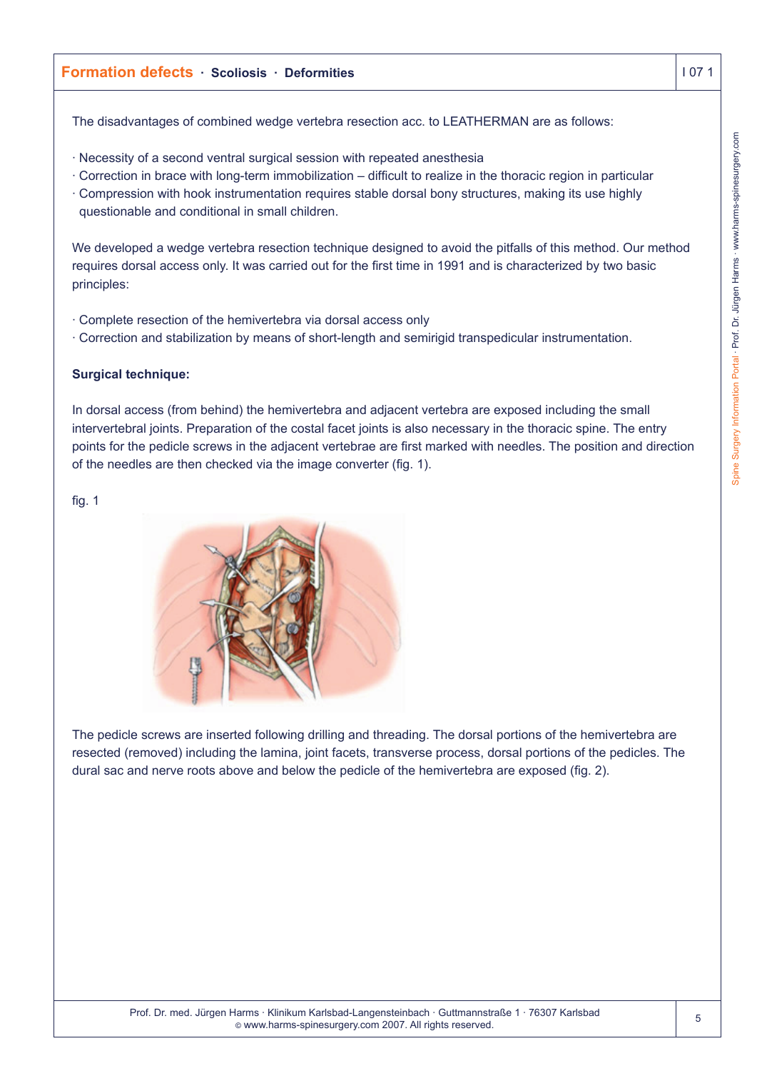The disadvantages of combined wedge vertebra resection acc. to LEATHERMAN are as follows:

- · Necessity of a second ventral surgical session with repeated anesthesia
- · Correction in brace with long-term immobilization difficult to realize in the thoracic region in particular
- · Compression with hook instrumentation requires stable dorsal bony structures, making its use highly questionable and conditional in small children.

We developed a wedge vertebra resection technique designed to avoid the pitfalls of this method. Our method requires dorsal access only. It was carried out for the first time in 1991 and is characterized by two basic principles:

- · Complete resection of the hemivertebra via dorsal access only
- · Correction and stabilization by means of short-length and semirigid transpedicular instrumentation.

# **Surgical technique:**

In dorsal access (from behind) the hemivertebra and adjacent vertebra are exposed including the small intervertebral joints. Preparation of the costal facet joints is also necessary in the thoracic spine. The entry points for the pedicle screws in the adjacent vertebrae are first marked with needles. The position and direction of the needles are then checked via the image converter (fig. 1).

# fig. 1



The pedicle screws are inserted following drilling and threading. The dorsal portions of the hemivertebra are resected (removed) including the lamina, joint facets, transverse process, dorsal portions of the pedicles. The dural sac and nerve roots above and below the pedicle of the hemivertebra are exposed (fig. 2).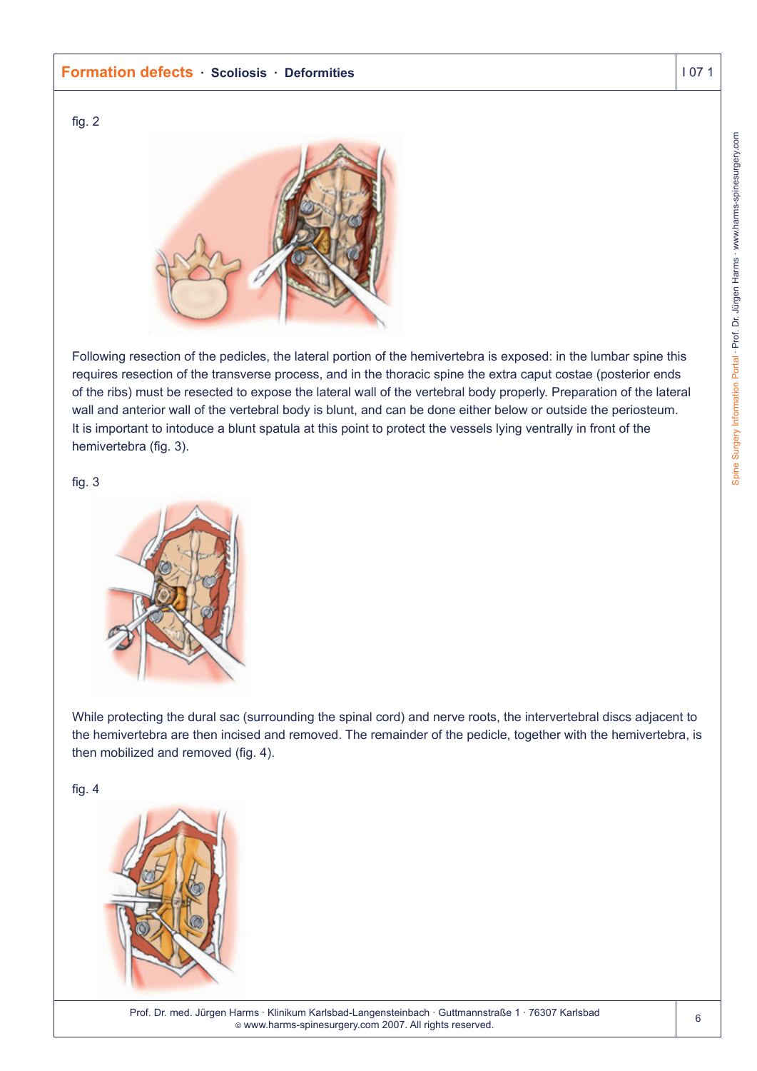## **Formation defects · Scoliosis · Deformities I 07 1**

# fig. 2



Following resection of the pedicles, the lateral portion of the hemivertebra is exposed: in the lumbar spine this requires resection of the transverse process, and in the thoracic spine the extra caput costae (posterior ends of the ribs) must be resected to expose the lateral wall of the vertebral body properly. Preparation of the lateral wall and anterior wall of the vertebral body is blunt, and can be done either below or outside the periosteum. It is important to intoduce a blunt spatula at this point to protect the vessels lying ventrally in front of the hemivertebra (fig. 3).

#### fig. 3



While protecting the dural sac (surrounding the spinal cord) and nerve roots, the intervertebral discs adjacent to the hemivertebra are then incised and removed. The remainder of the pedicle, together with the hemivertebra, is then mobilized and removed (fig. 4).

#### fig. 4



Prof. Dr. med. Jürgen Harms · Klinikum Karlsbad-Langensteinbach · Guttmannstraße 1 · 76307 Karlsbad © www.harms-spinesurgery.com 2007. All rights reserved.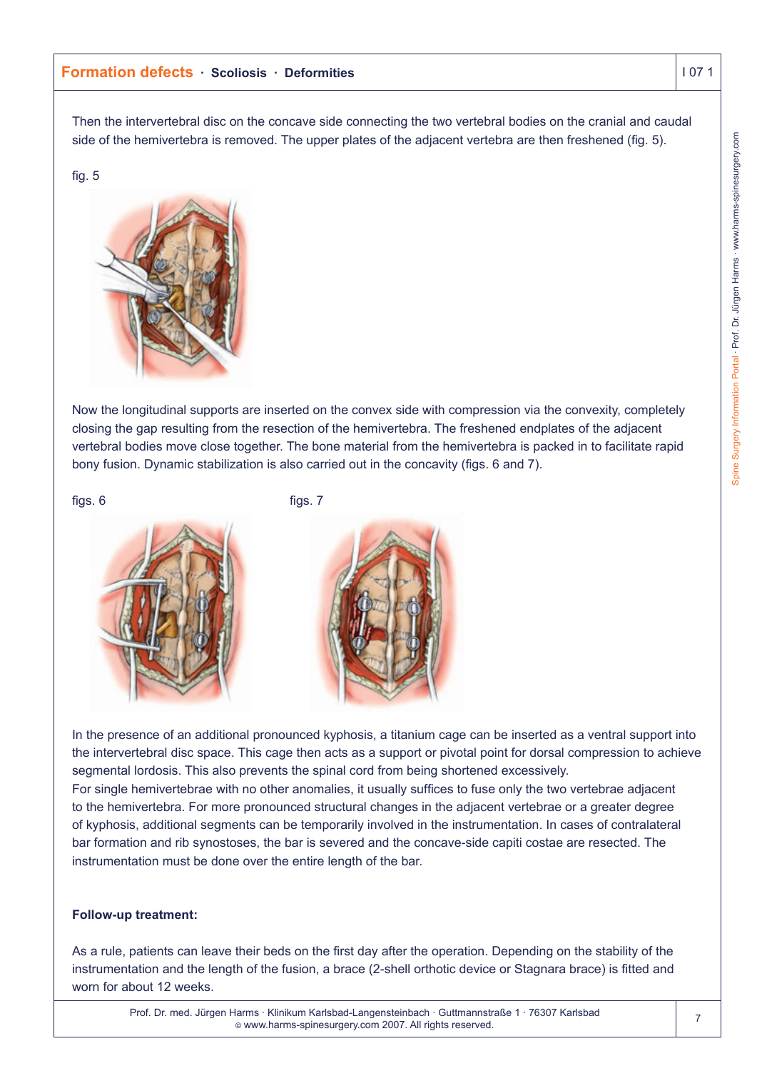Then the intervertebral disc on the concave side connecting the two vertebral bodies on the cranial and caudal side of the hemivertebra is removed. The upper plates of the adjacent vertebra are then freshened (fig. 5).

# fig. 5



Now the longitudinal supports are inserted on the convex side with compression via the convexity, completely closing the gap resulting from the resection of the hemivertebra. The freshened endplates of the adjacent vertebral bodies move close together. The bone material from the hemivertebra is packed in to facilitate rapid bony fusion. Dynamic stabilization is also carried out in the concavity (figs. 6 and 7).

figs.  $6$  figs. 7







In the presence of an additional pronounced kyphosis, a titanium cage can be inserted as a ventral support into the intervertebral disc space. This cage then acts as a support or pivotal point for dorsal compression to achieve segmental lordosis. This also prevents the spinal cord from being shortened excessively.

For single hemivertebrae with no other anomalies, it usually suffices to fuse only the two vertebrae adjacent to the hemivertebra. For more pronounced structural changes in the adjacent vertebrae or a greater degree of kyphosis, additional segments can be temporarily involved in the instrumentation. In cases of contralateral bar formation and rib synostoses, the bar is severed and the concave-side capiti costae are resected. The instrumentation must be done over the entire length of the bar.

# **Follow-up treatment:**

As a rule, patients can leave their beds on the first day after the operation. Depending on the stability of the instrumentation and the length of the fusion, a brace (2-shell orthotic device or Stagnara brace) is fitted and worn for about 12 weeks.